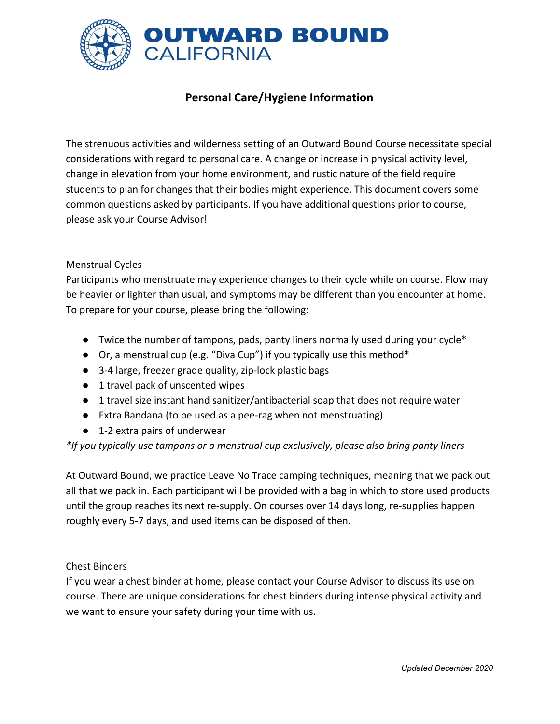

# **Personal Care/Hygiene Information**

The strenuous activities and wilderness setting of an Outward Bound Course necessitate special considerations with regard to personal care. A change or increase in physical activity level, change in elevation from your home environment, and rustic nature of the field require students to plan for changes that their bodies might experience. This document covers some common questions asked by participants. If you have additional questions prior to course, please ask your Course Advisor!

### Menstrual Cycles

Participants who menstruate may experience changes to their cycle while on course. Flow may be heavier or lighter than usual, and symptoms may be different than you encounter at home. To prepare for your course, please bring the following:

- Twice the number of tampons, pads, panty liners normally used during your cycle\*
- Or, a menstrual cup (e.g. "Diva Cup") if you typically use this method\*
- 3-4 large, freezer grade quality, zip-lock plastic bags
- 1 travel pack of unscented wipes
- 1 travel size instant hand sanitizer/antibacterial soap that does not require water
- Extra Bandana (to be used as a pee-rag when not menstruating)
- 1-2 extra pairs of underwear

*\*If you typically use tampons or a menstrual cup exclusively, please also bring panty liners*

At Outward Bound, we practice Leave No Trace camping techniques, meaning that we pack out all that we pack in. Each participant will be provided with a bag in which to store used products until the group reaches its next re-supply. On courses over 14 days long, re-supplies happen roughly every 5-7 days, and used items can be disposed of then.

#### Chest Binders

If you wear a chest binder at home, please contact your Course Advisor to discuss its use on course. There are unique considerations for chest binders during intense physical activity and we want to ensure your safety during your time with us.